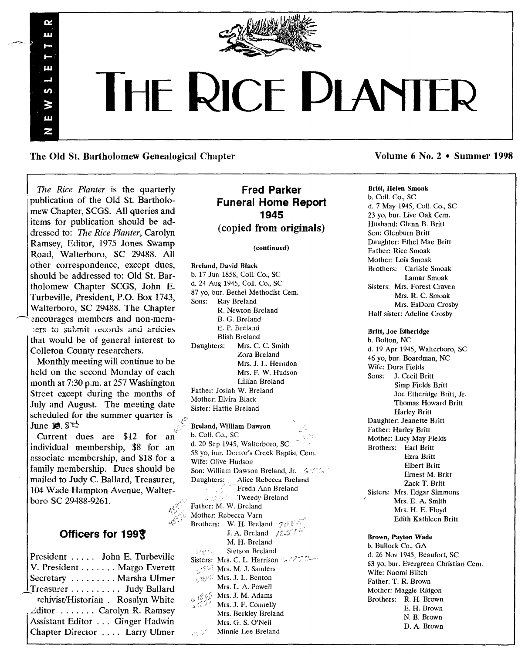

# **THE RICE DI ANTER**

The Old St. Bartholomew Genealogical Chapter Volume 6 No. 2 • Summer 1998

*The Rice Planter* is the quarterly publication of the Old St. Bartholomew Chapter, SCGS. All queries and items for publication should be addressed to: *The Rice Planter,* Carolyn Ramsey, Editor, 1975 Jones Swamp Road, Walterboro, SC 29488. All other correspondence, except dues, should be addressed to: Old St. Bartholomew Chapter SCGS, John E. Turbeville, President, P.O. Box 1743, Walterboro, SC 29488. The Chapter encourages members and non-memto submit records and articies that would be of general interest to Colleton County researchers.

œ m

ш

ທ. W ш N

Monthly meeting will continue to be held on the second Monday of each month at 7:30 p.m. at 257 Washington Street except during the months of July and August. The meeting date scheduled for the summer quarter is June  $13.8<sup>+</sup>$ 

Current dues are \$12 for an individual membership, \$8 for an associate membership, and \$18 for a family membership. Dues should be mailed to Judy C. Ballard, Treasurer, 104 Wade Hampton Avenue, Walterboro SC 29488-9261.

# Officers for *1991*

| President  John E. Turbeville      |
|------------------------------------|
| V. President Margo Everett         |
| Secretary  Marsha Ulmer            |
| Treasurer Judy Ballard             |
| rchivist/Historian . Rosalyn White |
| ditor Carolyn R. Ramsey            |
| Assistant Editor Ginger Hadwin     |
| Chapter Director  Larry Ulmer      |
|                                    |

# Fred Parker Funeral Home Report 1945 (copied from originals)

#### (continued)

Breland, David Black b. 17 Jun 1858, Coli. Co., SC d. 24 Aug 1945, ColI. Co., SC 87 yo, bur. Bethel Methodist Cem.<br>Sons: Rav Breland Ray Breland R. Newton Breland B. G. Breland E. P. Breland Blish Breland Daughters: Mrs. C. C. Smith Zora Breland Mrs. J. L. Herndon Mrs. F. W. Hudson Lillian Breland Father: Josiah W. Breland Mother: Elvira Black Sister: Hattie Breland Breland, William Dawson b. ColI. Co., SC d. 20 Sep 1945, Walterboro, SC 58 yo, bur. Doctor's Creek Baptist Cem. Wife: Olive Hudson Son: William Dawson Breland, Jr.  $6/5$ . Daughters: Alice Rebecca Breland Freda Ann Breland **Controllering Tweedy Breland** Father: M. W. Breland Mother: Rebecca Yarn Brothers: W. H. Breland  $\mathcal{D}\mathcal{D} \mathcal{E}$ J. A. Breland  $\sqrt{g}$  5<sup>th</sup> M. H. Breland Stetson Breland 数学ない。 Sisters: Mrs. C. L. Harrison  $-777$ Mrs. M. J. Sanders Mrs. J. L. Benton Mrs. L. A. Powell Mrs. J. M. Adams Mrs. J. F. Connelly Mrs. Berkley Breland Mrs. G. S. O'Neil Minnie Lee Breland

# Britt, Helen Smoak

b. ColI. Co., SC d. 7 May 1945, Call. Co., SC 23 yo, bur. Live Oak Cern. Husband: Glenn B. Britt Son: Glenburn Britt Daughter: Ethel Mae Britt Father: Rice Smoak Mother: Lois Smoak Brothers: Carlisle Smoak Lamar Smoak Sisters: Mrs. Forest Craven Mrs. R. C. Smoak Mrs. EsDorn Crosby Half sister: Adeline Crosby

Britt, Joe Etheridge b. Bolton, NC d. 19 Apr 1945, Walterboro, SC 46 yo, bur. Boardman, NC Wife: Dura Fields Sons: J. Cecil Britt Simp Fields Britt Joe Etheridge Britt, Jf. Thomas Howard Britt Harley Britt Daughter: Jeanette Britt Father: Harley Britt Mother: Lucy May Fields Brothers: Earl Britt Ezra Britt Elbert Britt Ernest M. Britt Zack T. Britt Sisters: Mrs. Edgar Simmons Mrs. E. A. Smith Mrs. H. E. Floyd Edith Kathleen Britt

Brown, Payton Wade b. Bullock Co., GA

d. 26 Nov 1945, Beaufort, SC 63 yo, bur. Evergreen Christian Cern. Wife: Naomi Blitch Father: T. R. Brown Mother: Maggie Ridgon Brothers: R. H. Brown E. H. Brown N. B. Brown D. A. Brown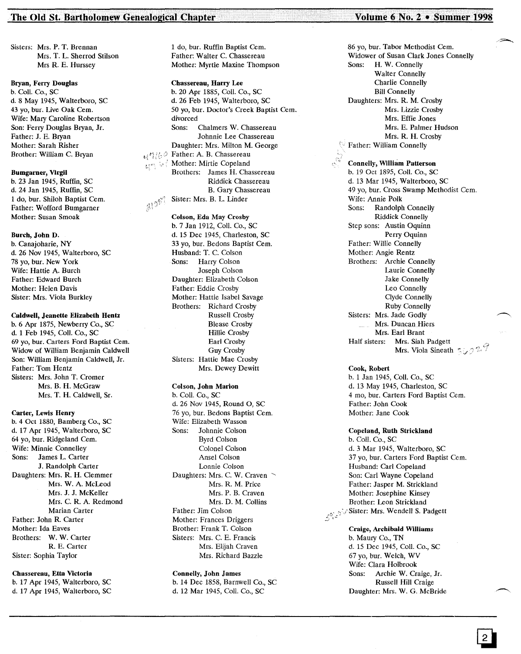#### The Old St. Bartholomew Genealogical Chapter

..,' -- ---- .. ---- ,-- --,.,.,.,', , -. ---- --.-- .. -- .

 $\{x\}^{\mathcal{B}^{(0)}}$ 

Sisters: Mrs. P. T. Brennan Mrs. T. L. Sherrod Stilson Mrs R. E. Hurssey

### Bryan, Ferry Douglas

b. ColI. Co., SC d.8 May 1945, Walterboro, SC 43 yo, bur. Live Oak Cem. Wife: Mary Caroline Robertson Son: Ferry Douglas Bryan, Jr. Father: J. E. Bryan Mother: Sarah Risher Brother: William C. Bryan

#### Bumgarner, Virgil

b. 23 Jan 1945, Ruffin, SC d. 24 Jan 1945, Ruffin, SC 1 do, bur. Shiloh Baptist Cem. Father: Wofford Bumgarner Mother: Susan Smoak

#### Burch, John D.

b. Canajoharie, NY d. 26 Nov 1945, Walterboro, SC 78 yo, bur. New York Wife: Hattie A. Burch Father: Edward Burch Mother: Helen Davis Sister: Mrs. Viola Burkley

## Caldwell, Jeanette Elizabeth Hentz

b. 6 Apr 1875, Newberry Co., SC d. 1 Feb 1945, Coli. Co., SC 69 yo, bur. Carters Ford Baptist Cem. Widow of William Benjamin Caldwell Son: William Benjamin Caldwell, Jr. Father: Tom Hentz Sisters: Mrs. John T. Cromer Mrs. B. H. McGraw Mrs. T. H. Caldwell, Sr.

#### Carter, Lewis Henry

b. 4 Oct 1880, Bamberg Co., SC d. 17 Apr 1945, Walterboro, SC 64 yo, bur. Ridgeland Cem. Wife: Minnie Connelley Sons: James L. Carter J. Randolph Carter Daughters: Mrs. R. H. Clemmer Mrs. W. A. McLeod Mrs. J. J. McKeller Mrs. C. R. A. Redmond Marian Carter Father: John R. Carter Mother: Ida Eaves Brothers: W. W. Carter R. E. Carter Sister: Sophia Taylor

#### Chassereau, Etta Victoria

b. 17 Apr 1945, Walterboro, SC d. 17 Apr 1945, Walterboro, SC 1 do, bur. Ruffin Baptist Cem. Father: Walter C. Chassereau Mother: Myrtle Maxine Thompson

Chassereau, Harry Lee b. 20 Apr 1885, Coli. Co., SC d. 26 Feb 1945, Walterboro, SC 50 yo, bur. Doctor's Creek Baptist Cem. divorced Sons: Chalmers W. Chassereau Johnnie Lee Chassereau Daughter: Mrs. Milton M. George  $d^h$ Father: A. B. Chassereau Mother: Mirtie Copeland ंदर Brothers: James H. Chassereau Riddick Chassereau B. Gary Chassereau Sister: Mrs. B. L. Linder  $310^{97}$ 

#### Colson, Eda May Crosby

b. 7 Jan 1912, Coli. Co., SC d. 15 Dec 1945, Charleston, SC 33 yo, bur. Bedons Baptist Cem. Husband: T. C. Colson Sons: Harry Colson Joseph Colson Daughter: Elizabeth Colson Father: Eddie Crosby Mother: Hattie Isabel Savage Brothers: Richard Crosby Russell Crosby Blease Crosby Hillie Crosby Earl Crosby Guy Crosby Sisters: Hattie Mae Crosby Mrs. Dewey Dewitt

#### Colson, John Marion

b. ColI. Co., SC d. 26 Nov 1945, Round 0, SC 76 yo, bur. Bedons Baptist Cem. Wife: Elizabeth Wasson Sons: Johnnie Colson Byrd Colson Colonel Colson Ansel Colson Lonnie Colson Daughters: Mrs. C. W. Craven Mrs. R. M. Price Mrs. P. B. Craven Mrs. D. M. Collins Father: Jim Colson Mother: Frances Driggers Brother: Frank T. Colson Sisters: Mrs. C. E. Francis Mrs. Elijah Craven Mrs. Richard Bazzle

#### Connelly, John James

b. 14 Dec 1858, Barnwell Co., SC d. 12 Mar 1945, Call. Co., SC

#### Volume 6 No. 2 . Summer 1998

86 yo, bur. Tabor Methodist Cem.

...... , , ---- ..,., ..

Widower of Susan Clark Jones Connelly Sons: H. W. Connelly Walter Connelly Charlie Connelly Bill Connelly Daughters: Mrs. R. M. Crosby Mrs. Lizzie Crosby Mrs. Effie Jones Mrs. E. Palmer Hudson Mrs. R. H. Crosby Father: William Connelly Connelly, William Patterson b. 19 Oct 1895, Coli. Co., SC d. 13 Mar 1945, Walterboro, SC 49 yo, bur. Cross Swamp Methodist Cem. Wife: Annie Polk Sons: Randolph Connelly Riddick Connelly Step sons: Austin Oquinn Perry Oquinn Father: Willie Connelly Mother: Angie Rentz Brothers: Archie Connelly Laurie Connelly Jake Connelly Leo Connelly Clyde Connelly Ruby Connelly Sisters: Mrs. Jade Godly  $\frac{1}{2}$  Mrs. Duncan Hiers Mrs. Earl Brant Half sisters: Mrs. Siah Padgett Mrs. Viola Sineath  $\sim$ , 27

Cook, Robert

b. 1 Jan 1945, Coli. Co., SC d. 13 May 1945, Charleston, SC 4 mo, bur. Carters Ford Baptist Cem. Father: John Cook Mother: Jane Cook

#### Copeland, Ruth Strickland

b. Call. Co., SC d. 3 Mar 1945, Walterboro, SC 37 yo, bur. Carters Ford Baptist Cem. Husband: Carl Copeland Son: Carl Wayne Copeland Father: Jasper M. Strickland Mother: Josephine Kinsey Brother: Leon Strickland *i*<sup>2</sup><sup>2</sup>,<sup>2</sup>,<sup>3</sup>*i*. Sister: Mrs. Wendell S. Padget

#### Craige, Archibald Williams

b. Maury Co., TN d. 15 Dec 1945, Call. Co., SC 67 yo, bur. Welch, WV Wife: Clara Holbrook Sons: Archie W. Craige, Jr. Russell Hill Craige Daughter: Mrs. W. G. McBride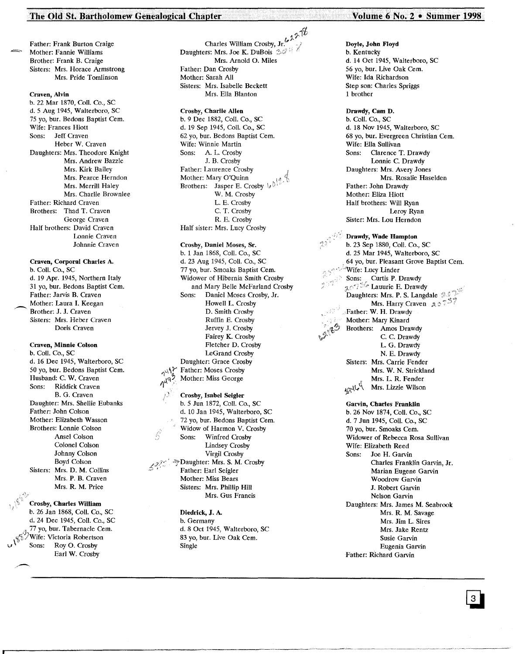## The Old St. Bartholomew Genealogical Chapter Volume 6 No. 2 . Summer 1998

Father: Frank Burton Craige Mother: Fannie Williams Brother: Frank B. Craige Sisters: Mrs. Horace Armstrong Mrs. Pride Tomlinson

#### Craven, Alvin

b. 22 Mar 1870, Coli. Co., SC d. 5 Aug 1945, Walterboro, SC 75 yo, bur. Bedons Baptist Cern. Wife: Frances Hiott Sons: Jeff Craven Heber W. Craven Daughters: Mrs. Theodore Knight Mrs. Andrew Bazzle Mrs. Kirk Bailey Mrs. Pearce Herndon Mrs. Merrill Haley Mrs. Charlie Brownlee Father: Richard Craven Brothers: Thad T. Craven George Craven Half brothers: David Craven Lonnie Craven Johnnie Craven

Craven, Corporal Charles A. b. CoIl. Co., SC d. 19 Apr. 1945, Northern Italy 31 yo, bur. Bedons Baptist Cern. Father: Jarvis B. Craven ~. Mother: Laura I. Keegan Brother: J. J. Craven Sisters: Mrs. Heber Craven Doris Craven

Craven, Minnie Colson b. Coli. Co., SC d. 16 Dec 1945, Walterboro, SC 50 yo, bur. Bedons Baptist Cern. Husband: C. W. Craven Sons: Riddick Craven B. G. Craven Daughter: Mrs. Shellie Eubanks Father: John Colson Mother: Elizabeth Wasson Brothers: Lonnie Colson Ansel Colson Colonel Colson Johnny Colson Boyd Colson Sisters: Mrs. D. M. Collins Mrs. P. B. Craven Mrs. R. M. Price

Crosby, Charles William b. 26 Jan 1868, Coli. Co., SC d. 24 Dec 1945, Coli. Co., SC 77 yo, bur. Tabernacle Cem. Wife: Victoria Robertson Sons: Roy O. Crosby Earl W. Crosby

 $\gamma$ Charles William Crosby, Jr. Daughters: Mrs. Joe K. DuBois 30 Mrs. Arnold O. Miles Father: Dan Crosby Mother: Sarah All Sisters: Mrs. Isabelle Beckett Mrs. Ella Blanton

#### Crosby, Charlie Allen

b. 9 Dec 1882, Coli. Co., SC d. 19 Sep 1945, ColI. Co., SC 62 yo, bur. Bedons Baptist Cern. Wife: Winnie Martin Sons: A. L. Crosby J. B. Crosby Father: Laurence Crosby Mother: Mary O'Quinn Brothers: Jasper E. Crosby  $\vee^{\Diamond}$ W. M. Crosby L. E. Crosby C. T. Crosby R. E. Crosby Half sister: Mrs. Lucy Crosby

Crosby, Daniel Moses, Sr. b. 1 Jan 1868, ColI. Co., SC d. 23 Aug 1945, Coil. Co., SC 77 yo, bur. Smoaks Baptist Cem. Widower of Hibernia Smith Crosby and Mary Belle McFarland Crosby<br>Sons: Daniel Moses Crosby, Jr. Daniel Moses Crosby, Jr. Howell L. Crosby D. Smith Crosby Ruffin E. Crosby Jervey J. Crosby Fairey K. Crosby Fletcher D. Crosby LeGrand Crosby Daughter: Grace Crosby ? Father: Moses Crosby Mother: Miss George

#### Crosby, Isabel Seigler b. 5 Jun 1872, ColI. Co., SC d. 10 Jan 1945, Walterboro, SC 72 yo, bur. Bedons Baptist Cem. Widow of Harmon V. Crosby<br>Sons: Winfred Crosby Winfred Crosby Lindsey Crosby Virgil Crosby Daughter: Mrs. S. M. Crosby Father: Earl Seigler Mother: Miss Bears Sisters: Mrs. Phillip Hill Mrs. Gus Francis

 $\eta^\mu$  ,

Diedrick, J. A. b. Germany d. 8 Oct 1945, Walterboro, SC 83 yo, bur. Live Oak Cem. Single

Doyle, John Floyd b. Kentucky d. 14 Oct 1945, Walterboro, SC 56 yo, bur. Live Oak Cern. Wife: Ida Richardson Step son: Charles Spriggs 1 brother

Drawdy, Cam D. b. Coli. Co., SC d. 18 Nov 1945, Walterboro, SC 68 yo, bur. Evergreen Christian Cern. Wife: Ella Sullivan Sons: Clarence T. Drawdy Lonnie C. Drawdy Daughters: Mrs. Avery Jones Mrs. Rosalie Haselden Father: John Drawdy Mother: Eliza Hiott Half brothers: Will Ryan Leroy Ryan Sister: Mrs. Lou Herndon

Drawdy, Wade Hampton b. 23 Sep 1880, ColI. Co., SC d. 25 Mar 1945, Walterboro, SC 64 yo, bur. Pleasant Grove Baptist Cem. <Wife: Lucy Linder Sons: Curtis P. Drawd  $j_i$ C" $i$ <sup>i, com</sup> Lauurie E. Drawd Daughters: Mrs. P. S. Langdale Mrs. Harry Craven  $A \circ \tilde{A}$ ,Father: W. H. Drawdy Mother: Mary Kinard Brothers: Amos Drawdy C. C. Drawdy L. G. Drawdy N. E. Drawdy Sisters: Mrs. Carrie Fender Mrs. W. N. Strickland  $t = \frac{M}{2}$  $M_{\rm V}(\nu \sim \text{m/s.}$  Lizzie Wilson

Garvin, Charles Franklin b. 26 Nov 1874, ColI. Co., SC d. 7 Jun 1945, ColI. Co., SC 70 yo, bur. Smoaks Cem. Widower of Rebecca Rosa Sullivan Wife: Elizabeth Reed Sons: Joe H. Garvin Charles Franklin Garvin, Jr. Marian Eugene Garvin Woodrow Garvin J. Robert Garvin Nelson Garvin Daughters: Mrs. James M. Seabrook Mrs. R. M. Savage Mrs. Jim L. Sires Mrs. Jake Rentz Susie Garvin Eugenia Garvin Father: Richard Garvin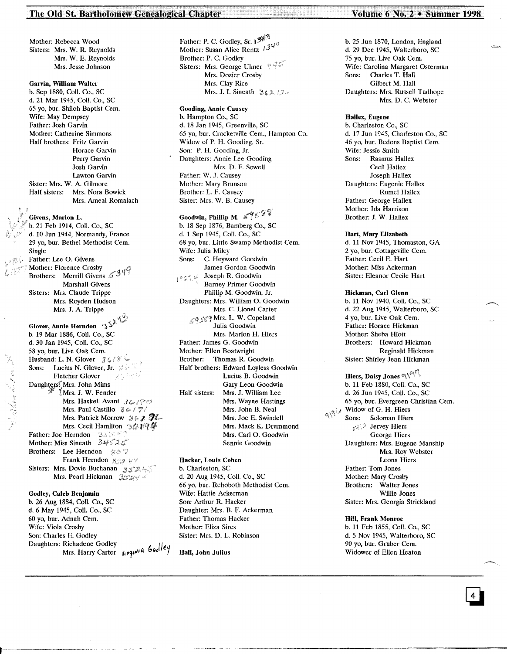## The Old St. Bartholomew Genealogical Chapter No. 2 . Summer 1998

Mother: Rebecca Wood Sisters: Mrs. W. R. Reynolds Mrs. W. E. Reynolds Mrs. Jesse Johnson

Garvin, William Walter b. Sep 1880, ColI. Co., SC d. 21 Mar 1945, Coli. Co., SC 65 yo, bur. Shiloh Baptist Cern. Wife: May Dempsey Father: Josh Garvin Mother: Catherine Simmons Half brothers: Fritz Garvin Horace Garvin Perry Garvin Josh Garvin Lawton Garvin Sister: Mrs. W. A. Gilmore Half sisters: Mrs. Nora Bowick Mrs. Ameal Romalach

Givens, Marlon L. b. 21 Feb 1914, Coli. Co., SC d. 10 Jun 1944, Normandy, France 29 yo, bur. Bethel Methodist Cern. Single Father: Lee O. Givens Mother: Florence Crosby Brothers: Merrill Givens Marshall Givens Sisters: Mrs. Claude Trippe Mrs. Royden Hudson Mrs. J. A. Trippe Glover, Annie Herndon  $\ket{\cdot}^{\zeta^{\prime}}$ b. 19 Mar 1886, Coli. Co., SC d. 30 Jan 1945, Coli. Co., SC 58 yo, bur. Live Oak Cem. Husband: L. N. Glover  $36/8$ Sons: Lucius N. Glover, Jr. 36 Fletcher Glover<br>Daughtersi Mrs. John Mims I Mrs. J. W. Fender Mrs. Haskell Avant  $36/20$ Mrs. Paul Castillo  $36/7$ Mrs. Patrick Morrow;  $36.2.72$ Mrs. Cecil Hamilton 36194 Father: Joe Herndon . 35,35% Mother: Miss Sineath 34525 Brothers: Lee Herndon 807 Frank Herndon 3329 Sisters: Mrs. Dovie Buchanan 352

n Calaman

Mrs. Pearl Hickman 3924

Godley, Caleb Benjamin b. 26 Aug 1884, Coli. Co., SC d. 6 May 1945, Coli. Co., SC 60 yo, bur. Adnah Cern. Wife: Viola Crosby Son: Charles E. Godley<br>Daughters: Richadene Godley Daughters. Richadene Godley<br>Mrs. Harry Carter  $\mu$ <sub>1</sub> $q\mu$ <sup>14</sup> Goolley Father: P. C. Godley, Sr. 13 Mother: Susan Alice Rentz  $\lambda$  3<sup>y</sup> Brother: P. C. Godley Sisters: Mrs. George Ulmer  $\sqrt[n]{\frac{3}{2}}$ Mrs. Dozier Crosby Mrs. Clay Rice Mrs. J. I. Sineath  $3222$ 

Gooding, Annie Causey b. Hampton Co., SC d. 18 Jan 1945, Greenville, SC 65 yo, bur. Crocketville Cern., Hampton Co. Widow of P. H. Gooding, Sr. Son: P. H. Gooding, Jr. Daughters: Annie Lee Gooding Mrs. D. F. Sowell Father: W. J, Causey Mother: Mary Brunson Brother: L. F. Causey Sister: Mrs. W. B. Causey

Goodwin, Phillip M.  $\leq$ 958 b. 18 Sep 1876, Bamberg Co., SC d. 1 Sep 1945, Coli. Co., SC 68 yo, bur. Little Swamp Methodist Cem. Wife: Julia Miley<br>Sons: C. Heywa C. Heyward Goodwin James Gordon Goodwin **1922 Soseph R. Goodwin**<br>Barney Primer Goodwin Phillip M. Goodwin, Jr. Daughters: Mrs. William O. Goodwin Mrs. C. Lionel Carter  $\zeta$ 9589 Mrs. L. W. Copeland Julia Goodwin Mrs. Marion H. Hiers Father: James G. Goodwin Mother: Ellen Boatwright Brother: Thomas R. Goodwin Half brothers: Edward Loyless Goodwin Lucius B. Goodwin Gary Leon Goodwin Half sisters: Mrs. J. William Lee Mrs. Wayne Hastings Mrs. John B. Neal Mrs. Joe E. Swindell Mrs. Mack K. Drummond Mrs. Carl O. Goodwin Sennie Goodwin

Hacker, Louis Cohen b. Charleston, SC d. 20 Aug 1945, Coil. Co., SC 66 yo, bur. Rehoboth Methodist Cern. Wife: Hattie Ackerman Son: Arthur R. Hacker Daughter: Mrs. B. F. Ackerman Father: Thomas Hacker Mother: Eliza Sires Sister: Mrs. D. L. Robinson

................-,-<---------~------~\_. \_\_ .\_-----------------------

Hall, John Julius

b. 25 Jun 1870, London, England d. 29 Dec 1945, Walterboro, SC 75 yo, bur. Live Oak Cern. Wife: Carolina Margaret Osterman<br>Sons: Charles T. Hall Charles T. Hall Gilbert M. Hall Daughters: Mrs. Russell Tudhope Mrs. D. C. Webster

#### Hallex, Eugene

b. Charleston Co., SC d. 17 Jun 1945, Charleston Co., SC 46 vo, bur. Bedons Baptist Cem. Wife: Jessie Smith Sons: Rasmus Hallex Cecil Hallex Joseph Hallex Daughters: Eugenie Hallex Rumel Hallex Father: George Hallex Mother: Ida Harrison Brother: J. W. Hallex

Hart, Mary Elizabeth

d. 11 Nov 1945, Thomaston, GA 2 yo, bur. Cottageville Cem. Father: Cecil E. Hart Mother: Miss Ackerman Sister: Eleanor Cecile Hart

Hickman, Carl Glenn b. 11 Nov 1940, Coli. Co., SC d. 22 Aug 1945, Walterboro, SC 4 yo, bur. Live Oak Cem. Father: Horace Hickman Mother: Sheba Hiott Brothers: Howard Hickman Reginald Hickman Sister: Shirley Jean Hickman

Hiers, Daisy Jones  $\mathbb{R} \setminus \mathbb{R}^n$ b. 11 Feb 1880, Coli. Co., SC d. 26 Jun 1945, Coli. Co., SC 65 yo, bur. Evergreen Christian Cern.  $\mathbb{Q}$  Widow of G. H. Hiers Sons: Soloman Hiers  $\mathcal{G}$  Jervey Hiers George Hiers Daughters: Mrs. Eugene Manship Mrs. Roy Webster Leona Hiers Father: Tom Jones Mother: Mary Crosby Brothers: Walter Jones Willie Jones Sister: Mrs. Georgia Strickland

> Hill, Frank Monroe b. 11 Feb 1855, Coli. Co., SC d.5 Nov 1945, Walterboro, SC 90 vo. bur. Gruber Cem. Widower of Ellen Heaton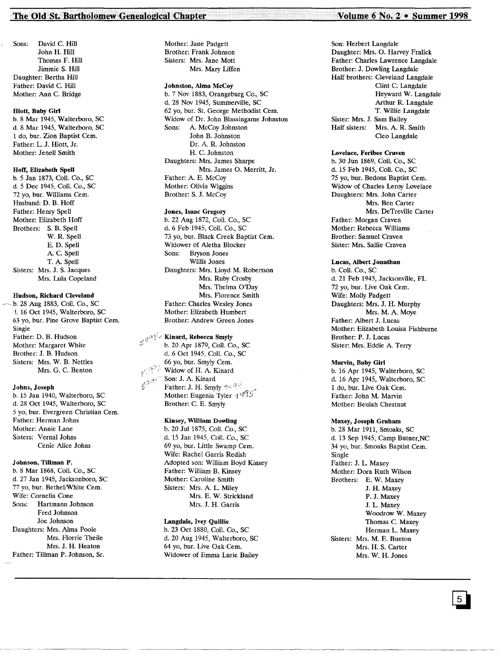## The Old St. Bartholomew Genealogical Chapter No. 2 . Volume 6 No. 2 . Summer 1998

Sons: David C. Hill John H. Hill Thomas F. Hill Jimmie S. Hill Daughter: Bertha Hill Father: David C. Hill Mother: Ann C. Bridge

#### Hiott, Baby Girl

b.8 Mar 1945, Walterboro, SC d. 8 Mar 1945, Walterboro, SC 1 do, bur. Zion Baptist Cern. Father: L. J. Hiott, Jr. Mother: Jenell Smith

#### Hoff, Elizabeth Spell

b. 5 Jan 1873, ColI. Co., SC d. 5 Dec 1945, Coli. Co., SC 72 yo, bur. Williams Cern. Husband: D. B. Hoff Father: Henry Spell Mother: Elizabeth Hoff Brothers: S. B. Spell W. R. Spell E. D. Spell A. C. Spell T. A. Spell Sisters: Mrs. J. S. Jacques Mrs. Lula Copeland

#### Hudson, Richard Cleveland

b. 28 Aug 1883, Coll. Co., SC !. 16 Oct 1945, Walterboro, SC 63 yo, bur. Pine Grove Baptist Cem. Single Father: D. B. Hudson Mother: Margaret White Brother: J. B. Hudson Sisters: Mrs. W. B. Nettles Mrs. G. C. Benton

#### Johns, Joseph

b. 15 Jan 1940, Walterboro, SC d. 28 Oct 1945, Walterboro, SC 5 yo, bur. Evergreen Christian Cern. Father: Herman Johns Mother: Annie Lane Sisters: Vernal Johns Cenie Alice Johns

#### Johnson, Tillman P.

b. 8 Mar 1868, ColI. Co., SC d. 27 Jan 1945, Jacksonboro, SC 77 yo, bur. Bethel/White Cem. Wife: Cornelia Cone Sons: Hartmann Johnson Fred Johnson Joe Johnson Daughters: Mrs. Alma Poole Mrs. Florrie Theile Mrs. J. H. Heaton Father: Tillman P. Johnson, Sr.

Mother: Jane Padgett Brother: Frank Johnson Sisters: Mrs. Jane Mott Mrs. Mary Liffen

#### Johnston, Alma McCoy

b. 7 Nov 1883, Orangeburg Co., SC d. 28 Nov 1945, Summerville, SC 62 yo, bur. St. George Methodist Cem. Widow of Dr. John Blassingame Johnston Sons: A. McCoy Johnston John B. Johnston Dr. A. R. Johnston H. C. Johnston Daughters: Mrs. James Sharpe Mrs. James O. Merritt, Jr. Father: A. E. McCoy Mother: Olivia Wiggins Brother: S. J. McCoy

#### Jones, Isaac Gregory

b. 22 Aug 1872, Coli. Co., SC d. 6 Feb 1945, Coli. Co., SC 73 yo, bur. Black Creek Baptist Cem. Widower of Aletha Blocker Sons: Bryson Jones Willis Jones Daughters: Mrs. Lloyd M. Robertson Mrs. Ruby Crosby Mrs. Thelma O'Day Mrs. Florence Smith Father: Charles Wesley Jones Mother: Elizabeth Humbert Brother: Andrew Green Jones

# $\mathbb{R}^{\otimes \mathbb{R}^d}$  Kinard, Rebecca Smyly

b. 20 Apr 1879, ColI. Co., SC d. 6 Oct 1945, ColI. Co., SC 66 yo, bur. Smyly Cern. Widow of H. A. Kinard Son: J. A. Kinard Father: J. H. Smyly 2009 Mother: Eugenia Tyler  $1495$ Brother: C. E. Smyly

#### Kinsey, William Dowling

b. 20 Jul 1875, Coli. Co., SC d. 15 Jan 1945, ColI. Co., SC 69 yo, bur. Little Swamp Cern. Wife: Rachel Garris Redish Adopted son: William Boyd Kinsey Father: William B. Kinsey Mother: Caroline Smith Sisters: Mrs. A. L. Miley Mrs. E. W. Strickland Mrs. J. H. Garris

## Langdale, Ivey Quillie

b. 23 Oct 1880, Coli. Co., SC d. 20 Aug 1945, Walterboro, SC 64 yo, bur. Live Oak Cem. Widower of Emma Lurie Bailey

Son: Herbert Langdale Daughter: Mrs. O. Harvey Fralick Father: Charles Lawrence Langdale Brother: J. Dowling Langdale Half brothers: Cleveland Langdale Clint C. Langdale Heyward W. Langdale Arthur R. Langdale T. Willie Langdale Sister: Mrs. J. Sam Bailey Half sisters: Mrs. A. R. Smith Cleo Langdale

#### Lovelace, Ferlbee Craven

b. 30 Jun 1869, ColI. Co., SC d. 15 Feb 1945, ColI. Co., SC 75 yo, bur. Bedons Baptist Cern. Widow of Charles Leroy Lovelace Daughters: Mrs. John Carter Mrs. Ben Carter Mrs. DeTreville Carter Father: Morgan Craven Mother: Rebecca Williams Brother: Samuel Craven Sister: Mrs. Sallie Craven

#### Lucas, Albert Jonathan

b. ColI. Co., SC d. 21 Feb 1945, Jacksonville, FL 72 yo, bur. Live Oak Cern. Wife: Molly Padgett Daughters: Mrs. J. H. Murphy Mrs. M. A. Moye Father: Albert J. Lucas Mother: Elizabeth Louisa Fishburne Brother: P. J. Lucas Sister: Mrs. Eddie A. Terry

#### Marvin, Baby Girl

b. 16 Apr 1945, Walterboro, SC d. 16 Apr 1945, Walterboro, SC 1 do, bur. Live Oak Cem. Father: John M. Marvin Mother: Beulah Chestnut

#### Maxey, Joseph Graham

b. 28 Mar 1911, Smoaks, SC d. 13 Sep 1945, Camp Butner,NC 34 yo, bur. Smoaks Baptist Cem. Single Father: J. L. Maxey Mother: Dora Ruth Wilson Brothers: E. W. Maxey J. H. Maxey P. J. Maxey J. L. Maxey Woodrow W. Maxey Thomas C. Maxey Herman L. Maxey Sisters: Mrs. M. E. Bunton Mrs. H. S. Carter Mrs. W. H. Jones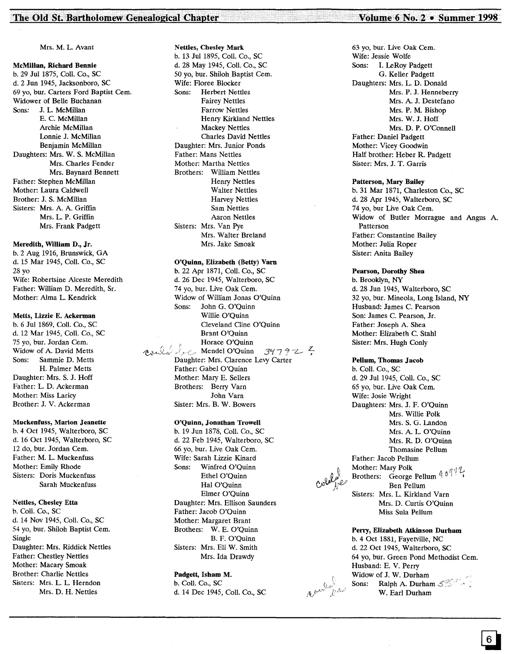#### McMillan, Richard Bennie b. 29 Jul 1875, Coli. Co., SC d. 2 Jun 1945, Jacksonboro, SC 69 yo, bur. Carters Ford Baptist Cern. Widower of Belle Buchanan Sons: J. L. McMillan E. C. McMillan Archie McMillan Lonnie J. McMillan Benjamin McMillan Daughters: Mrs. W. S. McMillan Mrs. Charles Fender Mrs. Baynard Bennett Father: Stephen McMillan Mother: Laura Caldwell Brother: J. S. McMillan Sisters: Mrs. A. A. Griffin Mrs. L. P. Griffin Mrs. Frank Padgett

Meredith, William D., Jr. b. 2 Aug 1916, Brunswick, GA d. 15 Mar 1945, ColI. Co., SC 28 yo Wife: Robertsine Alceste Meredith Father: William D. Meredith, Sr. Mother: Alma L. Kendrick

#### Metts, Lizzie E. Ackerman

b. 6 Jul 1869, ColI. Co., SC d. 12 Mar 1945, CoiL Co., SC 75 yo, bur. Jordan Cern. Widow of A. David Metts Sons: Sammie D. Metts H. Palmer Metts Daughter: Mrs. S. J. Hoff Father: L. D. Ackerman Mother: Miss Laricy Brother: J. V. Ackerman

#### Muckenfuss, Marion Jeanette

b. 4 Oct 1945, Walterboro, SC d. 16 Oct 1945, Walterboro, SC 12 do, bur. Jordan Cem. Father: M. L. Muckenfuss Mother: Emily Rhode Sisters: Doris Muckenfuss Sarah Muckenfuss

#### Nettles, Chesley Etta

b. Coli. Co., SC d. 14 Nov 1945, Coli. Co., SC 54 yo, bur. Shiloh Baptist Cem. Single Daughter: Mrs. Riddick Nettles Father: Chestley Nettles Mother: Macary Smoak Brother: Charlie Nettles Sisters: Mrs. L. L. Herndon Mrs. D. H. Nettles

Nettles, Chesley Mark b. 13 Jul 1895, Coli. Co., SC d. 28 May 1945, ColI. Co., SC 50 yo, bur. Shiloh Baptist Cern. Wife: Floree Blocker Sons: Herbert Nettles Fairey Nettles Farrow Nettles Henry Kirkland Nettles Mackey Nettles Charles David Nettles Daughter: Mrs. Junior Ponds Father: Mans Nettles Mother: Martha Nettles Brothers: William Nettles Henry Nettles Walter Nettles Harvey Nettles Sam Nettles Aaron Nettles Sisters: Mrs. Van Pye Mrs. Walter Breland Mrs. Jake Smoak

#### O'Quinn, Elizabeth (Betty) Yam

b. 22 Apr 1871, Coli. Co., SC d. 26 Dec 1945, Walterboro, SC 74 yo, bur. Live Oak Cem. Widow of William Jonas O'Quinn Sons: John G. O'Quinn Willie O'Quinn Cleveland Cline O'Quinn Brant O'Quinn Horace O'Quinn  $\lim_{\Delta y\to 0} \int_{\Delta z}$  Mendel O'Quinn 34792. Daughter: Mrs. Clarence Levy Carter Father: Gabel O'Quinn Mother: Mary E. Sellers Brothers: Berry Yarn John Yarn Sister: Mrs. B. W. Bowers

#### O'Quinn, Jonathan Trowell

b. 19 Jun 1878, Coli. Co., SC d. 22 Feb 1945, Walterboro, SC 66 yo, bur. Live Oak Cern. Wife: Sarah Lizzie Kinard Sons: Winfred O'Quinn Ethel O'Quinn Hal O'Ouinn Elmer O'Quinn Daughter: Mrs. Ellison Saunders Father: Jacob O'Quinn Mother: Margaret Brant Brothers: W. E. O'Quinn B. F. O'Quinn Sisters: Mrs. Eli W. Smith Mrs. Ida Drawdy

Padgett, Isham M. b. Coli. Co., SC d. 14 Dec 1945, ColI. Co., SC

63 yo, bur. Live Oak Cem. Wife: Jessie Wolfe Sons: 1. LeRoy Padgett G. Keller Padgett Daughters: Mrs. L. D. Donald Mrs. P. J. Henneberry Mrs. A. J. Destefano Mrs. P. M. Bishop Mrs. W. J. Hoff Mrs. D. P. O'Connell Father: Daniel Padgett Mother: Vicey Goodwin Half brother: Heber R. Padgett Sister: Mrs. J. T. Garris

#### Patterson, Mary Bailey

b. 31 Mar 1871, Charleston Co., SC d. 28 Apr 1945, Walterboro, SC 74 yo, bur Live Oak Cem. Widow of Butler Morrague and Angus A. Patterson Father: Constantine Bailey Mother: Julia Roper Sister: Anita Bailey

#### Pearson, Dorothy Shea

b. Brooklyn, NY d. 28 Jun 1945, Walterboro, SC 32 yo, bur. Mineola, Long Island, NY Husband: James C. Pearson Son: James C. Pearson, Jr. Father: Joseph A. Shea Mother: Elizabeth C. Stahl Sister: Mrs. Hugh Conly

#### Pellum, Thomas Jacob

b. Coli. Co., SC d. 29 Jul 1945, Coli. Co., SC 65 yo, bur. Live Oak Cern. Wife: Josie Wright Daughters: Mrs. J. F. O'Quinn Mrs. Willie Polk Mrs. S. G. Landon Mrs. A. L. O'Quinn Mrs. R. D. O'Quinn Thomasine Pellum Father: Jacob Pellum Mother: Mary Polk  $\mathbb{R}$  and  $\mathbb{R}$ . Brothers: George Pellum  $\P^{(n)}$ Ben Pellum Sisters: Mrs. L. Kirkland Yarn Mrs. D. Curtis O'Quinn Miss Sula Pellum

#### Perry, Elizabeth Atkinson Durham

b. 4 Oct 1881, Fayetville, NC d. 22 Oct 1945, Walterboro, SC 64 yo, bur. Green Pond Methodist Cern. Husband: E. V. Perry Widow of J. W. Durham Sons: Ralph A. Durham  $\mathcal{L}^{\text{max}}$ W. Earl Durham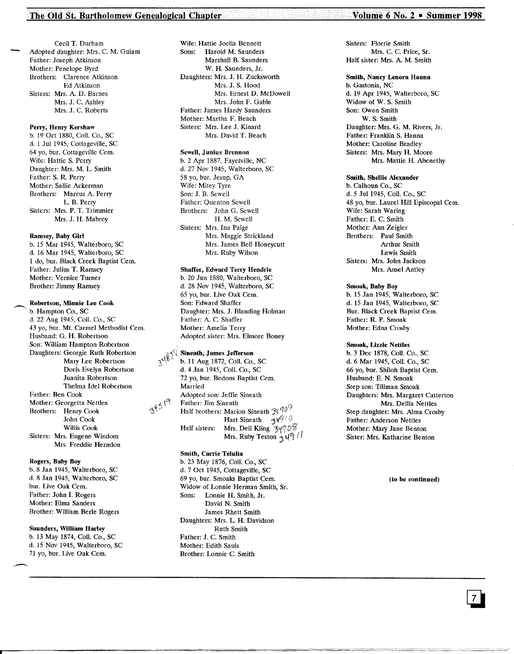#### The Old St. Bartholomew Genealogical Chapter **Volume-6 1998** • Summer 1998

Cecil T. Durham Adopted daughter: Mrs. C. M. Guiant Father: Joseph Atkinson Mother: Penelope Byrd Brothers: Clarence Atkinson Ed Atkinson Sisters: Mrs. A. D. Barnes Mrs. J. C. Ashley Mrs. J. C. Roberts

#### Perry, Henry Kershaw

b. 19 Oct 1880, Coli. Co., SC d. 1 Jul 1945, Cottageville, SC 64 yo, bur. Cottageville Cern. Wife: Hattie S. Perry Daughter: Mrs. M. L. Smith Father: S. R. Perry Mother: Sallie Ackerman Brothers: Marcus A. Perry L. B. Perry Sisters: Mrs. P. T. Trimmier Mrs. J. H. Mabrey

#### Ramsey, Baby Girl

b. 15 Mar 1945, Walterboro, SC d. 16 Mar 1945, Walterboro, SC 1 do, bur. Black Creek Baptist Cern. Father: Julius T. Ramsey Mother: Vernice Turner Brother: Jimmy Ramsey

b. Hampton Co., SC d. 22 Aug 1945, Coil. Co., SC 43 yo, bur. Mt. Carmel Methodist Cern. Husband: G. H. Robertson Son: William Hampton Robertson Daughters: Georgie Ruth Robertson Mary Lee Robertson Doris Evelyn Robertson Juanita Robertson Thelma Idel Robertson Father: Ben Cook Mother: Georgetta Nettles Brothers: Henry Cook John Cook Willis Cook Sisters: Mrs. Eugene Windom Mrs. Freddie Herndon

#### Rogers, Baby Boy

b. 8 Jan 1945, Walterboro, SC d. 8 Jan 1945, Walterboro, SC bur. Live Oak Cem. Father: John 1. Rogers Mother: Elma Sanders Brother: William Berle Rogers

#### Saunders, William Harley

b. 13 May 1874, Coli. Co., SC d. 15 Nov 1945, Walterboro, SC 71 yo, bur. Live Oak Cern.

Wife: Hattie Joella Bennett Sons: Harold M. Saunders Marshall B. Saunders W. H. Saunders, Jr. Daughters: Mrs. J. H. Zucksworth Mrs. J. S. Hood Mrs. Ernest D. McDowell Mrs. John F. Gable Father: James Hardy Saunders Mother: Martha F. Beach Sisters: Mrs. Lee J. Kinard Mrs. David T. Beach

#### Sewell, Junius Brennon

b. 2 Apr 1887, Fayetville, NC d. 27 Nov 1945, Walterboro, SC 58 yo, bur. Jesup, GA Wife: Mitey Tyre Son: J. B. Sewell Father: Quenton Sewell Brothers: John G. Sewell H. M. Sewell Sisters: Mrs. Ina Paige Mrs. Maggie Strickland Mrs. James Bell Honeycutt Mrs. Ruby Wilson

## Shaffer, Edward Terry Hendrie

b. 20 Jun 1880, Walterboro, SC d. 28 Nov 1945, Walterboro, SC 65 yo, bur. Live Oak Cern. Son: Edward Shaffer Daughter: Mrs. J. Blanding Holman Father: A. C. Shaffer Mother: Amelia Terry Adopted sister: Mrs. Elmore Boney

#### Sineath, James Jefferson

b. 11 Aug 1872, Coil. Co., SC d. 4 Jan 1945, Coli. Co., SC 72 yo, bur. Bedons Baptist Cem. Married Adopted son: Jeffie Sineath Father: Jim Sineath Half brothers: Marion Sineath  $\mathfrak{Z}^{\mathfrak{q}}$   $\mathfrak{P}^{\mathfrak{q}}$ Hart Sineath  $\mathcal{A} \mathcal{C}^{\otimes \otimes}$ Half sisters: Mrs. Dell Kling  $3\sqrt{7}$ Mrs. Ruby Teston  $\frac{1}{3}$  to  $\frac{1}{3}$ 

#### Smith, Carrie Telulia

34519

--------------====~~====~=====~===========~==---. -.===-.~.~---

b. 23 May 1876, ColI. Co., SC d. 7 Oct 1945, Cottageville, SC 69 yo, bur. Smoaks Baptist Cern. Widow of Lonnie Herman Smith, Sr. Sons: Lonnie H. Smith, Jr. David N. Smith James Rhett Smith Daughters: Mrs. L. H. Davidson Ruth Smith Father: J. C. Smith Mother: Edith Sauls Brother: Lonnie C. Smith

Sisters: Florrie Smith Mrs. C. C. Price, Sr. Half sister: Mrs. A. M. Smith

#### Smith, Nancy Lenora Hanna

b. Gastonia, NC d. 19 Apr 1945, Walterboro, SC Widow of W. S. Smith Son: Owen Smith W. S. Smith Daughter: Mrs. G. M. Rivers, Jr. Father: Franklin S. Hanna Mother: Caroline Bradley Sisters: Mrs. Mary H. Moore Mrs. Mattie H. Abenethy

#### Smith, Shellie Alexander

b. Calhoun Co., SC d. 5 Ju11945, ColI. Co., SC 48 yo, bur. Laurel Hill Episcopal Cem. Wife: Sarah Waring Father: E. C. Smith Mother: Ann Zeigler Brothers: Paul Smith Arthur Smith Lewis Smith Sisters: Mrs. John Jackson Mrs. Ansel Antley

#### Smoak, Baby Boy

b. 15 Jan 1945, Walterboro, SC d. 15 Jan 1945, Walterboro, SC Bur. Black Creek Baptist Cem. Father: R. P. Smoak Mother: Edna Crosby

#### Smoak, Lizzie Nettles

b. 3 Dec 1878, Coli. Co., SC d.6 Mar 1945, Coli. Co., SC 66 yo, bur. Shiloh Baptist Cern. Husband: E. N. Smoak Step son: Tillman Smoak Daughters: Mrs. Margaret Catterton Mrs. Dellia Nettles Step daughter: Mrs. Alma Crosby Father: Anderson Nettles Mother: Mary Jane Benton Sister: Mrs. Katharine Benton

#### (to be continued)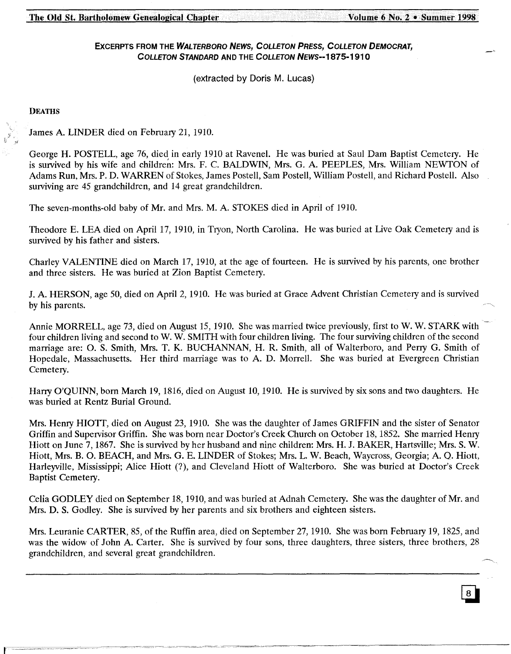# ExCERPTS FROM THE WALTERBORO NEWS, COLLErON PRESS, COLLErON DEMOCRAT, COLLETON STANDARD AND THE COLLETON NEWS--1875-1910

(extracted by Doris M. Lucas)

**DEATHS** 

James A. LINDER died on February 21, 1910.

George H. POSTELL, age 76, died in early 1910 at Ravenel. He was buried at Saul Dam Baptist Cemetery. He is survived by his wife and children: Mrs. F. C. BALDWIN, Mrs. G. A. PEEPLES, Mrs. William NEWTON of Adams Run, Mrs. P. D. WARREN of Stokes, James Postell, Sam Postell, William Postell, and Richard Postell. Also surviving are 45 grandchildren, and 14 great grandchildren.

The seven-months-old baby of Mr. and Mrs. M. A. STOKES died in April of 1910.

Theodore E. LEA died on April 17, 1910, in Tryon, North Carolina. He was buried at Live Oak *Cemetery* and is survived by his father and sisters.

Charley VALENTINE died on March 17, 1910, at the age of fourteen. He is survived by his parents, one brother and three sisters. He was buried at Zion Baptist *Cemetery.*

J. A. HERSON, age 50, died on April 2, 1910. He was buried at Grace Advent Christian *Cemetery* and is survived by his parents.

Annie MORRELL, age 73, died on August 15,1910. She was married twice previously, first to W. W. STARK with four children living and second to W. W. SMITH with four children living. The four surviving children of the second marriage are: O. S. Smith, Mrs. T. K. BUCHANNAN, H. R. Smith, all of Walterboro, and Perry G. Smith of Hopedale, Massachusetts. Her third marriage was to A. D. Morrell. She was buried at Evergreen Christian Cemetery.

Harry O'QUINN, born March 19, 1816, died on August 10, 1910. He is survived by six sons and two daughters. He was buried at Rentz Burial Ground.

Mrs. Henry HIOTT, died on August 23, 1910. She was the daughter of James GRIFFIN and the sister of Senator Griffin and Supervisor Griffin. She was born near Doctor's Creek Church on October 18,1852. She married Henry Hiott on June 7, 1867. She is survived by her husband and nine children: Mrs. H. J. BAKER, Hartsville; Mrs. S. W. Hiott, Mrs. B. O. BEACH, and Mrs. G. E. LINDER of Stokes; Mrs. L. W. Beach, Waycross, Georgia; A. Q. Hiott, Harleyville, Mississippi; Alice Hiott (?), and Cleveland Hiott of Walterboro. She was buried at Doctor's Creek Baptist *Cemetery.*

Celia GODLEY died on September 18, 1910, and was buried at Adnah Cemetery. She was the daughter of Mr. and Mrs. D. S. Godley. She is survived by her parents and six brothers and eighteen sisters.

Mrs. Leuranie CARTER, 85, of the Ruffin area, died on September 27,1910. She was born February 19, 1825, and was the widow of John A. Carter. She is survived by four sons, three daughters, three sisters, three brothers, 28 grandchildren, and several great grandchildren.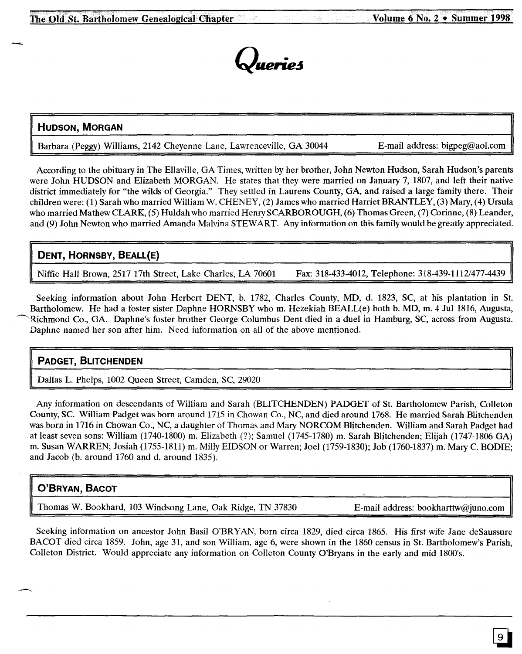

# **HUDSON, MORGAN**

Barbara (Peggy) Williams, 2142 Cheyenne Lane, Lawrenceville, GA 30044 E-mail address: bigpeg@aol.com

According to the obituary in The Ellaville, GA Times, written by her brother, John Newton Hudson, Sarah Hudson's parents were John HUDSON and Elizabeth MORGAN. He states that they were married on January 7, 1807, and left their native district immediately for "the wilds of Georgia." They settled in Laurens County, GA, and raised a large family there. Their children were: (1) Sarah who married William W. CHENEY, (2) James who married Harriet BRANTLEY, (3) Mary, (4) Ursula who married Mathew CLARK, (5) Huldah who married Henry SCARBOROUGH, (6) Thomas Green, (7) Corinne, (8) Leander, and (9) John Newton who married Amanda Malvina STEWART. Any information on this family would be greatly appreciated.

# **DENT, HORNSBY, BEALL(E)**

Niffie Hall Brown, 2517 17th Street, Lake Charles, LA 70601 Fax: 318-433-4012, Telephone: 318-439-1112/477-4439

Seeking information about John Herbert DENT, b. 1782, Charles County, MD, d. 1823, SC, at his plantation in St. Bartholomew. He had a foster sister Daphne HORNSBY who m. Hezekiah BEALL(e) both b. MD, m. 4 Jul 1816, Augusta, Richmond Co., GA. Daphne's foster brother George Columbus Dent died in a duel in Hamburg, SC, across from Augusta. Daphne named her son after him. Need information on all of the above mentioned.

# **PADGET, BUTCHENDEN**

Dallas L. Phelps, 1002 Queen Street, Camden, SC, 29020

Any information on descendants of William and Sarah (BLITCHENDEN) PADGET of St. Bartholomew Parish, Colleton County, SC. William Padget was born around 1715 in Chowan Co., NC, and died around 1768. He married Sarah Blitchenden was born in 1716 in Chowan Co., NC, a daughter of Thomas and Mary NORCOM Blitchenden. William and Sarah Padget had at least seven sons: William (1740-1800) m. Elizabeth (?); Samuel (1745-1780) m. Sarah Blitchenden; Elijah (1747-1806 GA) m. Susan WARREN; Josiah (1755-1811) m. Milly EIDSON or Warren; Joel (1759-1830); Job (1760-1837) m. Mary C. BODIE; and Jacob (b. around 1760 and d. around 1835).

# **O'BRYAN, BACOT**

Thomas W. Bookhard, 103 Windsong Lane, Oak Ridge, TN 37830 E-mail address: bookharttw@juno.com

Seeking information on ancestor John Basil O'BRY AN, born circa 1829, died circa 1865. His first wife Jane deSaussure BACOT died circa 1859. John, age 31, and son William, age 6, were shown in the 1860 census in St. Bartholomew's Parish, Colleton District. Would appreciate any information on Colleton County O'Bryans in the early and mid 1800's.